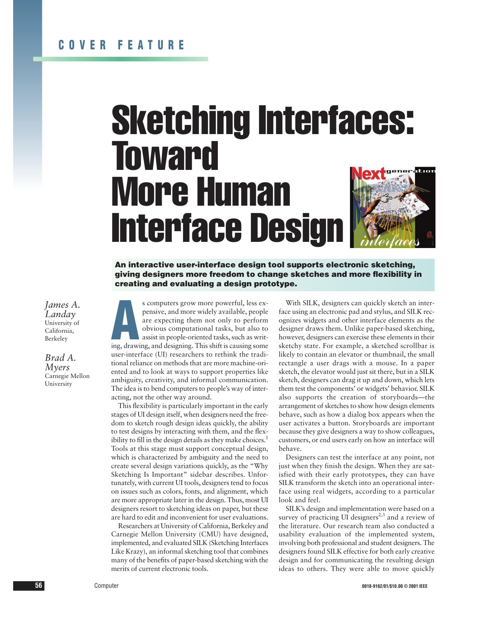# Sketching Interfaces: **Toward** More Human Interface Design

**An interactive user-interface design tool supports electronic sketching, giving designers more freedom to change sketches and more flexibility in creating and evaluating a design prototype.**

*James A. Landay* University of California, Berkeley

*Brad A. Myers* Carnegie Mellon University

s computers grow more powerful, less expensive, and more widely available, people are expecting them not only to perform obvious computational tasks, but also to assist in people-oriented tasks, such as writing, drawing, a s computers grow more powerful, less expensive, and more widely available, people are expecting them not only to perform obvious computational tasks, but also to assist in people-oriented tasks, such as writuser-interface (UI) researchers to rethink the traditional reliance on methods that are more machine-oriented and to look at ways to support properties like ambiguity, creativity, and informal communication. The idea is to bend computers to people's way of interacting, not the other way around.

This flexibility is particularly important in the early stages of UI design itself, when designers need the freedom to sketch rough design ideas quickly, the ability to test designs by interacting with them, and the flexibility to fill in the design details as they make choices.<sup>1</sup> Tools at this stage must support conceptual design, which is characterized by ambiguity and the need to create several design variations quickly, as the "Why Sketching Is Important" sidebar describes. Unfortunately, with current UI tools, designers tend to focus on issues such as colors, fonts, and alignment, which are more appropriate later in the design. Thus, most UI designers resort to sketching ideas on paper, but these are hard to edit and inconvenient for user evaluations.

Researchers at University of California, Berkeley and Carnegie Mellon University (CMU) have designed, implemented, and evaluated SILK (Sketching Interfaces Like Krazy), an informal sketching tool that combines many of the benefits of paper-based sketching with the merits of current electronic tools.

With SILK, designers can quickly sketch an interface using an electronic pad and stylus, and SILK recognizes widgets and other interface elements as the designer draws them. Unlike paper-based sketching, however, designers can exercise these elements in their sketchy state. For example, a sketched scrollbar is likely to contain an elevator or thumbnail, the small rectangle a user drags with a mouse. In a paper sketch, the elevator would just sit there, but in a SILK sketch, designers can drag it up and down, which lets them test the components' or widgets' behavior. SILK also supports the creation of storyboards—the arrangement of sketches to show how design elements behave, such as how a dialog box appears when the user activates a button. Storyboards are important because they give designers a way to show colleagues, customers, or end users early on how an interface will behave.

Designers can test the interface at any point, not just when they finish the design. When they are satisfied with their early prototypes, they can have SILK transform the sketch into an operational interface using real widgets, according to a particular look and feel.

SILK's design and implementation were based on a survey of practicing UI designers<sup>2,3</sup> and a review of the literature. Our research team also conducted a usability evaluation of the implemented system, involving both professional and student designers. The designers found SILK effective for both early creative design and for communicating the resulting design ideas to others. They were able to move quickly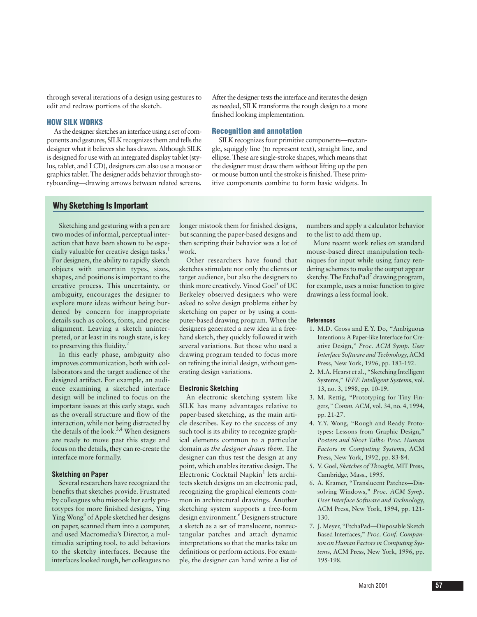through several iterations of a design using gestures to edit and redraw portions of the sketch.

# **HOW SILK WORKS**

As the designer sketches an interface using a set of components and gestures, SILK recognizes them and tells the designer what it believes she has drawn. Although SILK is designed for use with an integrated display tablet (stylus, tablet, and LCD), designers can also use a mouse or graphics tablet. The designer adds behavior through storyboarding—drawing arrows between related screens. After the designer tests the interface and iterates the design as needed, SILK transforms the rough design to a more finished looking implementation.

# **Recognition and annotation**

SILK recognizes four primitive components—rectangle, squiggly line (to represent text), straight line, and ellipse. These are single-stroke shapes, which means that the designer must draw them without lifting up the pen or mouse button until the stroke is finished. These primitive components combine to form basic widgets. In

# **Why Sketching Is Important**

Sketching and gesturing with a pen are two modes of informal, perceptual interaction that have been shown to be especially valuable for creative design tasks.<sup>1</sup> For designers, the ability to rapidly sketch objects with uncertain types, sizes, shapes, and positions is important to the creative process. This uncertainty, or ambiguity, encourages the designer to explore more ideas without being burdened by concern for inappropriate details such as colors, fonts, and precise alignment. Leaving a sketch uninterpreted, or at least in its rough state, is key to preserving this fluidity.<sup>2</sup>

In this early phase, ambiguity also improves communication, both with collaborators and the target audience of the designed artifact. For example, an audience examining a sketched interface design will be inclined to focus on the important issues at this early stage, such as the overall structure and flow of the interaction, while not being distracted by the details of the look.<sup>3,4</sup> When designers are ready to move past this stage and focus on the details, they can re-create the interface more formally.

# **Sketching on Paper**

Several researchers have recognized the benefits that sketches provide. Frustrated by colleagues who mistook her early prototypes for more finished designs, Ying Ying Wong<sup>4</sup> of Apple sketched her designs on paper, scanned them into a computer, and used Macromedia's Director, a multimedia scripting tool, to add behaviors to the sketchy interfaces. Because the interfaces looked rough, her colleagues no

longer mistook them for finished designs, but scanning the paper-based designs and then scripting their behavior was a lot of work.

Other researchers have found that sketches stimulate not only the clients or target audience, but also the designers to think more creatively. Vinod Goel<sup>5</sup> of UC Berkeley observed designers who were asked to solve design problems either by sketching on paper or by using a computer-based drawing program. When the designers generated a new idea in a freehand sketch, they quickly followed it with several variations. But those who used a drawing program tended to focus more on refining the initial design, without generating design variations.

#### **Electronic Sketching**

An electronic sketching system like SILK has many advantages relative to paper-based sketching, as the main article describes. Key to the success of any such tool is its ability to recognize graphical elements common to a particular domain *as the designer draws them*. The designer can thus test the design at any point, which enables iterative design. The Electronic Cocktail Napkin<sup>1</sup> lets architects sketch designs on an electronic pad, recognizing the graphical elements common in architectural drawings. Another sketching system supports a free-form design environment.<sup>6</sup> Designers structure a sketch as a set of translucent, nonrectangular patches and attach dynamic interpretations so that the marks take on definitions or perform actions. For example, the designer can hand write a list of

numbers and apply a calculator behavior to the list to add them up.

More recent work relies on standard mouse-based direct manipulation techniques for input while using fancy rendering schemes to make the output appear sketchy. The EtchaPad<sup>7</sup> drawing program, for example, uses a noise function to give drawings a less formal look.

# **References**

- 1. M.D. Gross and E.Y. Do, "Ambiguous Intentions: A Paper-like Interface for Creative Design," *Proc. ACM Symp. User Interface Software and Technolog*y, ACM Press, New York, 1996, pp. 183-192.
- 2. M.A. Hearst et al., "Sketching Intelligent Systems," *IEEE Intelligent System*s, vol. 13, no. 3, 1998, pp. 10-19.
- 3. M. Rettig, "Prototyping for Tiny Finger*s," Comm. ACM*, vol. 34, no. 4, 1994, pp. 21-27.
- 4. Y.Y. Wong, "Rough and Ready Prototypes: Lessons from Graphic Design," *Posters and Short Talks: Proc. Human Factors in Computing System*s, ACM Press, New York, 1992, pp. 83-84.
- 5. V. Goel, *Sketches of Thought*, MIT Press, Cambridge, Mass., 1995.
- 6. A. Kramer, "Translucent Patches—Dissolving Windows," *Proc. ACM Symp. User Interface Software and Technolog*y, ACM Press, New York, 1994, pp. 121- 130.
- 7. J. Meyer, "EtchaPad—Disposable Sketch Based Interfaces," *Proc*. *Conf. Companion on Human Factors in Computing System*s, ACM Press, New York, 1996, pp. 195-198.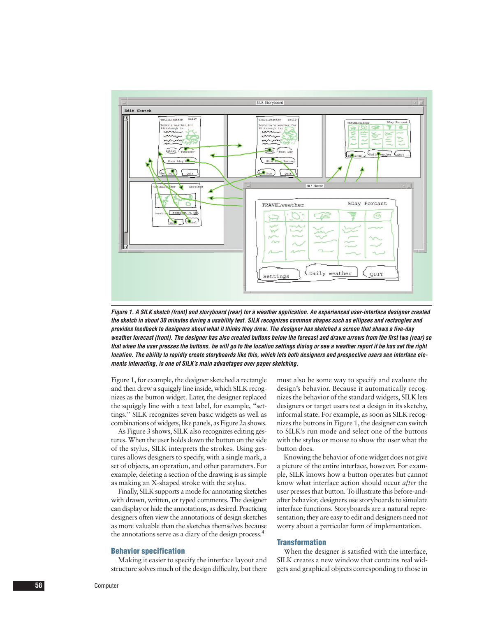

*Figure 1. A SILK sketch (front) and storyboard (rear) for a weather application. An experienced user-interface designer created the sketch in about 30 minutes during a usability test. SILK recognizes common shapes such as ellipses and rectangles and provides feedback to designers about what it thinks they drew. The designer has sketched a screen that shows a five-day weather forecast (front). The designer has also created buttons below the forecast and drawn arrows from the first two (rear) so that when the user presses the buttons, he will go to the location settings dialog or see a weather report if he has set the right location. The ability to rapidly create storyboards like this, which lets both designers and prospective users see interface elements interacting, is one of SILK's main advantages over paper sketching.*

Figure 1, for example, the designer sketched a rectangle and then drew a squiggly line inside, which SILK recognizes as the button widget. Later, the designer replaced the squiggly line with a text label, for example, "settings." SILK recognizes seven basic widgets as well as combinations of widgets, like panels, as Figure 2a shows.

As Figure 3 shows, SILK also recognizes editing gestures. When the user holds down the button on the side of the stylus, SILK interprets the strokes. Using gestures allows designers to specify, with a single mark, a set of objects, an operation, and other parameters. For example, deleting a section of the drawing is as simple as making an X-shaped stroke with the stylus.

Finally, SILK supports a mode for annotating sketches with drawn, written, or typed comments. The designer can display or hide the annotations, as desired. Practicing designers often view the annotations of design sketches as more valuable than the sketches themselves because the annotations serve as a diary of the design process.4

#### **Behavior specification**

Making it easier to specify the interface layout and structure solves much of the design difficulty, but there must also be some way to specify and evaluate the design's behavior. Because it automatically recognizes the behavior of the standard widgets, SILK lets designers or target users test a design in its sketchy, informal state. For example, as soon as SILK recognizes the buttons in Figure 1, the designer can switch to SILK's run mode and select one of the buttons with the stylus or mouse to show the user what the button does.

Knowing the behavior of one widget does not give a picture of the entire interface, however. For example, SILK knows how a button operates but cannot know what interface action should occur *after* the user presses that button. To illustrate this before-andafter behavior, designers use storyboards to simulate interface functions. Storyboards are a natural representation; they are easy to edit and designers need not worry about a particular form of implementation.

#### **Transformation**

When the designer is satisfied with the interface, SILK creates a new window that contains real widgets and graphical objects corresponding to those in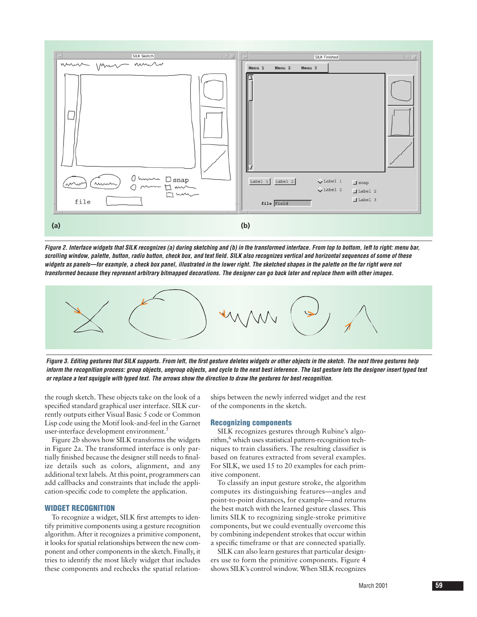

*Figure 2. Interface widgets that SILK recognizes (a) during sketching and (b) in the transformed interface. From top to bottom, left to right: menu bar, scrolling window, palette, button, radio button, check box, and text field. SILK also recognizes vertical and horizontal sequences of some of these widgets as panels—for example, a check box panel, illustrated in the lower right. The sketched shapes in the palette on the far right were not transformed because they represent arbitrary bitmapped decorations. The designer can go back later and replace them with other images.* 



*Figure 3. Editing gestures that SILK supports. From left, the first gesture deletes widgets or other objects in the sketch. The next three gestures help inform the recognition process: group objects, ungroup objects, and cycle to the next best inference. The last gesture lets the designer insert typed text or replace a text squiggle with typed text. The arrows show the direction to draw the gestures for best recognition.*

the rough sketch. These objects take on the look of a specified standard graphical user interface. SILK currently outputs either Visual Basic 5 code or Common Lisp code using the Motif look-and-feel in the Garnet user-interface development environment.<sup>5</sup>

Figure 2b shows how SILK transforms the widgets in Figure 2a. The transformed interface is only partially finished because the designer still needs to finalize details such as colors, alignment, and any additional text labels. At this point, programmers can add callbacks and constraints that include the application-specific code to complete the application.

# **WIDGET RECOGNITION**

To recognize a widget, SILK first attempts to identify primitive components using a gesture recognition algorithm. After it recognizes a primitive component, it looks for spatial relationships between the new component and other components in the sketch. Finally, it tries to identify the most likely widget that includes these components and rechecks the spatial relation-

ships between the newly inferred widget and the rest of the components in the sketch.

#### **Recognizing components**

SILK recognizes gestures through Rubine's algorithm,<sup>6</sup> which uses statistical pattern-recognition techniques to train classifiers. The resulting classifier is based on features extracted from several examples. For SILK, we used 15 to 20 examples for each primitive component.

To classify an input gesture stroke, the algorithm computes its distinguishing features—angles and point-to-point distances, for example—and returns the best match with the learned gesture classes. This limits SILK to recognizing single-stroke primitive components, but we could eventually overcome this by combining independent strokes that occur within a specific timeframe or that are connected spatially.

SILK can also learn gestures that particular designers use to form the primitive components. Figure 4 shows SILK's control window. When SILK recognizes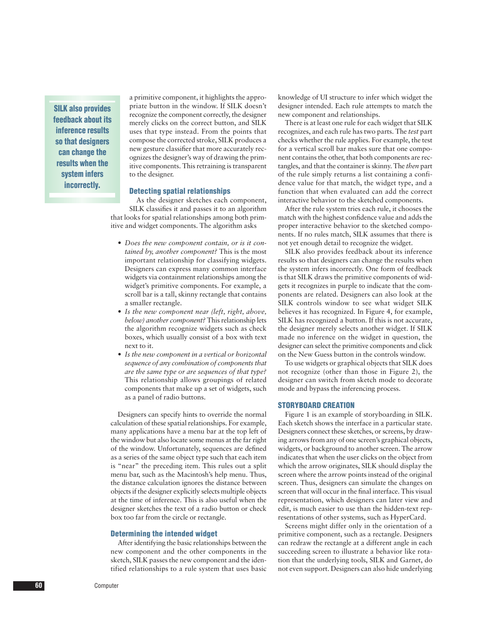**SILK also provides feedback about its inference results so that designers can change the results when the system infers incorrectly.**

a primitive component, it highlights the appropriate button in the window. If SILK doesn't recognize the component correctly, the designer merely clicks on the correct button, and SILK uses that type instead. From the points that compose the corrected stroke, SILK produces a new gesture classifier that more accurately recognizes the designer's way of drawing the primitive components. This retraining is transparent to the designer.

# **Detecting spatial relationships**

As the designer sketches each component, SILK classifies it and passes it to an algorithm that looks for spatial relationships among both primitive and widget components. The algorithm asks

- *Does the new component contain, or is it contained by, another component?* This is the most important relationship for classifying widgets. Designers can express many common interface widgets via containment relationships among the widget's primitive components. For example, a scroll bar is a tall, skinny rectangle that contains a smaller rectangle.
- *Is the new component near (left, right, above, below) another component?* This relationship lets the algorithm recognize widgets such as check boxes, which usually consist of a box with text next to it.
- *Is the new component in a vertical or horizontal sequence of any combination of components that are the same type or are sequences of that type?* This relationship allows groupings of related components that make up a set of widgets, such as a panel of radio buttons.

Designers can specify hints to override the normal calculation of these spatial relationships. For example, many applications have a menu bar at the top left of the window but also locate some menus at the far right of the window. Unfortunately, sequences are defined as a series of the same object type such that each item is "near" the preceding item. This rules out a split menu bar, such as the Macintosh's help menu. Thus, the distance calculation ignores the distance between objects if the designer explicitly selects multiple objects at the time of inference. This is also useful when the designer sketches the text of a radio button or check box too far from the circle or rectangle.

#### **Determining the intended widget**

After identifying the basic relationships between the new component and the other components in the sketch, SILK passes the new component and the identified relationships to a rule system that uses basic knowledge of UI structure to infer which widget the designer intended. Each rule attempts to match the new component and relationships.

There is at least one rule for each widget that SILK recognizes, and each rule has two parts. The *test* part checks whether the rule applies. For example, the test for a vertical scroll bar makes sure that one component contains the other, that both components are rectangles, and that the container is skinny. The *then* part of the rule simply returns a list containing a confidence value for that match, the widget type, and a function that when evaluated can add the correct interactive behavior to the sketched components.

After the rule system tries each rule, it chooses the match with the highest confidence value and adds the proper interactive behavior to the sketched components. If no rules match, SILK assumes that there is not yet enough detail to recognize the widget.

SILK also provides feedback about its inference results so that designers can change the results when the system infers incorrectly. One form of feedback is that SILK draws the primitive components of widgets it recognizes in purple to indicate that the components are related. Designers can also look at the SILK controls window to see what widget SILK believes it has recognized. In Figure 4, for example, SILK has recognized a button. If this is not accurate, the designer merely selects another widget. If SILK made no inference on the widget in question, the designer can select the primitive components and click on the New Guess button in the controls window.

To use widgets or graphical objects that SILK does not recognize (other than those in Figure 2), the designer can switch from sketch mode to decorate mode and bypass the inferencing process.

# **STORYBOARD CREATION**

Figure 1 is an example of storyboarding in SILK. Each sketch shows the interface in a particular state. Designers connect these sketches, or screens, by drawing arrows from any of one screen's graphical objects, widgets, or background to another screen. The arrow indicates that when the user clicks on the object from which the arrow originates, SILK should display the screen where the arrow points instead of the original screen. Thus, designers can simulate the changes on screen that will occur in the final interface. This visual representation, which designers can later view and edit, is much easier to use than the hidden-text representations of other systems, such as HyperCard.

Screens might differ only in the orientation of a primitive component, such as a rectangle. Designers can redraw the rectangle at a different angle in each succeeding screen to illustrate a behavior like rotation that the underlying tools, SILK and Garnet, do not even support. Designers can also hide underlying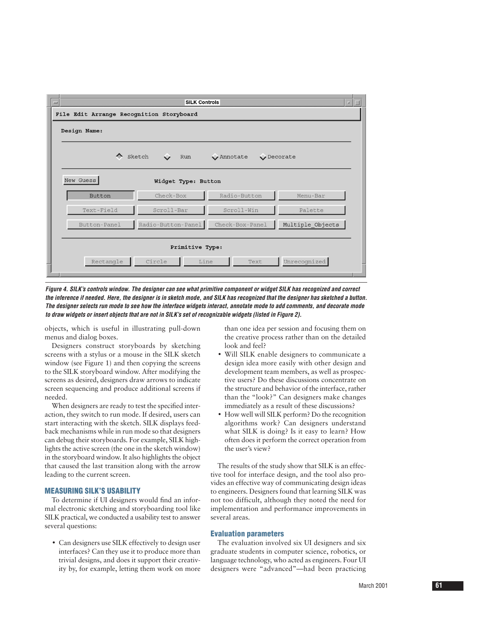

*Figure 4. SILK's controls window. The designer can see what primitive component or widget SILK has recognized and correct the inference if needed. Here, the designer is in sketch mode, and SILK has recognized that the designer has sketched a button. The designer selects run mode to see how the interface widgets interact, annotate mode to add comments, and decorate mode to draw widgets or insert objects that are not in SILK's set of recognizable widgets (listed in Figure 2).* 

objects, which is useful in illustrating pull-down menus and dialog boxes.

Designers construct storyboards by sketching screens with a stylus or a mouse in the SILK sketch window (see Figure 1) and then copying the screens to the SILK storyboard window. After modifying the screens as desired, designers draw arrows to indicate screen sequencing and produce additional screens if needed.

When designers are ready to test the specified interaction, they switch to run mode. If desired, users can start interacting with the sketch. SILK displays feedback mechanisms while in run mode so that designers can debug their storyboards. For example, SILK highlights the active screen (the one in the sketch window) in the storyboard window. It also highlights the object that caused the last transition along with the arrow leading to the current screen.

# **MEASURING SILK'S USABILITY**

To determine if UI designers would find an informal electronic sketching and storyboarding tool like SILK practical, we conducted a usability test to answer several questions:

• Can designers use SILK effectively to design user interfaces? Can they use it to produce more than trivial designs, and does it support their creativity by, for example, letting them work on more

than one idea per session and focusing them on the creative process rather than on the detailed look and feel?

- Will SILK enable designers to communicate a design idea more easily with other design and development team members, as well as prospective users? Do these discussions concentrate on the structure and behavior of the interface, rather than the "look?" Can designers make changes immediately as a result of these discussions?
- How well will SILK perform? Do the recognition algorithms work? Can designers understand what SILK is doing? Is it easy to learn? How often does it perform the correct operation from the user's view?

The results of the study show that SILK is an effective tool for interface design, and the tool also provides an effective way of communicating design ideas to engineers. Designers found that learning SILK was not too difficult, although they noted the need for implementation and performance improvements in several areas.

# **Evaluation parameters**

The evaluation involved six UI designers and six graduate students in computer science, robotics, or language technology, who acted as engineers. Four UI designers were "advanced"—had been practicing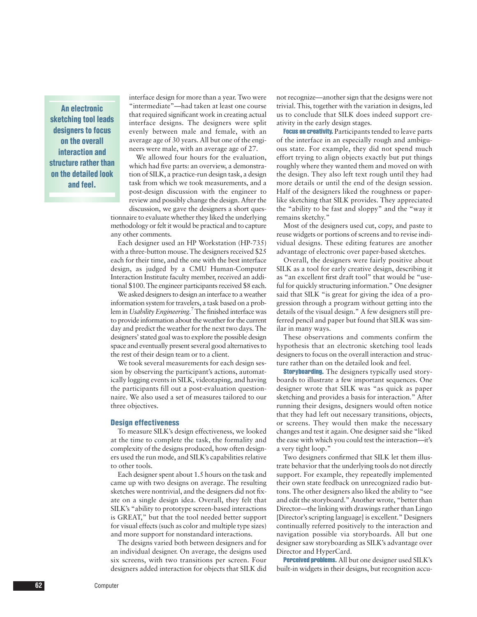**An electronic sketching tool leads designers to focus on the overall interaction and structure rather than on the detailed look and feel.**

interface design for more than a year. Two were "intermediate"—had taken at least one course that required significant work in creating actual interface designs. The designers were split evenly between male and female, with an average age of 30 years. All but one of the engineers were male, with an average age of 27.

We allowed four hours for the evaluation, which had five parts: an overview, a demonstration of SILK, a practice-run design task, a design task from which we took measurements, and a post-design discussion with the engineer to review and possibly change the design. After the discussion, we gave the designers a short ques-

tionnaire to evaluate whether they liked the underlying methodology or felt it would be practical and to capture any other comments.

Each designer used an HP Workstation (HP-735) with a three-button mouse. The designers received \$25 each for their time, and the one with the best interface design, as judged by a CMU Human-Computer Interaction Institute faculty member, received an additional \$100. The engineer participants received \$8 each.

We asked designers to design an interface to a weather information system for travelers, a task based on a problem in *Usability Engineering.*<sup>7</sup> The finished interface was to provide information about the weather for the current day and predict the weather for the next two days. The designers' stated goal was to explore the possible design space and eventually present several good alternatives to the rest of their design team or to a client.

We took several measurements for each design session by observing the participant's actions, automatically logging events in SILK, videotaping, and having the participants fill out a post-evaluation questionnaire. We also used a set of measures tailored to our three objectives.

#### **Design effectiveness**

To measure SILK's design effectiveness, we looked at the time to complete the task, the formality and complexity of the designs produced, how often designers used the run mode, and SILK's capabilities relative to other tools.

Each designer spent about 1.5 hours on the task and came up with two designs on average. The resulting sketches were nontrivial, and the designers did not fixate on a single design idea. Overall, they felt that SILK's "ability to prototype screen-based interactions is GREAT," but that the tool needed better support for visual effects (such as color and multiple type sizes) and more support for nonstandard interactions.

The designs varied both between designers and for an individual designer. On average, the designs used six screens, with two transitions per screen. Four designers added interaction for objects that SILK did not recognize—another sign that the designs were not trivial. This, together with the variation in designs, led us to conclude that SILK does indeed support creativity in the early design stages.

Focus on creativity. Participants tended to leave parts of the interface in an especially rough and ambiguous state. For example, they did not spend much effort trying to align objects exactly but put things roughly where they wanted them and moved on with the design. They also left text rough until they had more details or until the end of the design session. Half of the designers liked the roughness or paperlike sketching that SILK provides. They appreciated the "ability to be fast and sloppy" and the "way it remains sketchy."

Most of the designers used cut, copy, and paste to reuse widgets or portions of screens and to revise individual designs. These editing features are another advantage of electronic over paper-based sketches.

Overall, the designers were fairly positive about SILK as a tool for early creative design, describing it as "an excellent first draft tool" that would be "useful for quickly structuring information." One designer said that SILK "is great for giving the idea of a progression through a program without getting into the details of the visual design." A few designers still preferred pencil and paper but found that SILK was similar in many ways.

These observations and comments confirm the hypothesis that an electronic sketching tool leads designers to focus on the overall interaction and structure rather than on the detailed look and feel.

Storyboarding. The designers typically used storyboards to illustrate a few important sequences. One designer wrote that SILK was "as quick as paper sketching and provides a basis for interaction." After running their designs, designers would often notice that they had left out necessary transitions, objects, or screens. They would then make the necessary changes and test it again. One designer said she "liked the ease with which you could test the interaction—it's a very tight loop."

Two designers confirmed that SILK let them illustrate behavior that the underlying tools do not directly support. For example, they repeatedly implemented their own state feedback on unrecognized radio buttons. The other designers also liked the ability to "see and edit the storyboard." Another wrote, "better than Director—the linking with drawings rather than Lingo [Director's scripting language] is excellent." Designers continually referred positively to the interaction and navigation possible via storyboards. All but one designer saw storyboarding as SILK's advantage over Director and HyperCard.

Perceived problems. All but one designer used SILK's built-in widgets in their designs, but recognition accu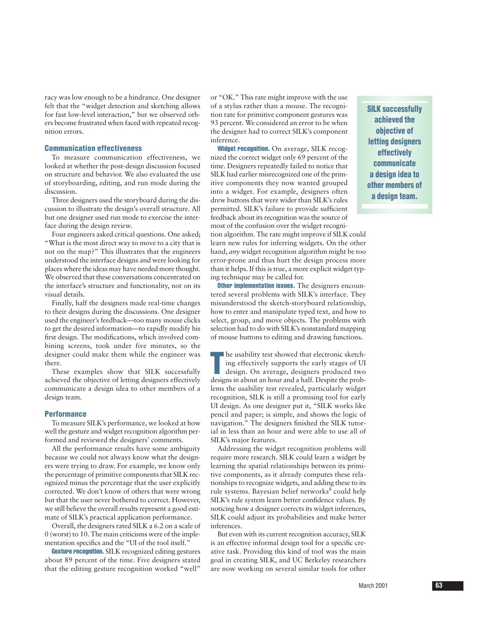racy was low enough to be a hindrance. One designer felt that the "widget detection and sketching allows for fast low-level interaction," but we observed others become frustrated when faced with repeated recognition errors.

# **Communication effectiveness**

To measure communication effectiveness, we looked at whether the post-design discussion focused on structure and behavior. We also evaluated the use of storyboarding, editing, and run mode during the discussion.

Three designers used the storyboard during the discussion to illustrate the design's overall structure. All but one designer used run mode to exercise the interface during the design review.

Four engineers asked critical questions. One asked; "What is the most direct way to move to a city that is not on the map?" This illustrates that the engineers understood the interface designs and were looking for places where the ideas may have needed more thought. We observed that these conversations concentrated on the interface's structure and functionality, not on its visual details.

Finally, half the designers made real-time changes to their designs during the discussions. One designer used the engineer's feedback—too many mouse clicks to get the desired information—to rapidly modify his first design. The modifications, which involved combining screens, took under five minutes, so the designer could make them while the engineer was there.

These examples show that SILK successfully achieved the objective of letting designers effectively communicate a design idea to other members of a design team.

# **Performance**

To measure SILK's performance, we looked at how well the gesture and widget recognition algorithm performed and reviewed the designers' comments.

All the performance results have some ambiguity because we could not always know what the designers were trying to draw. For example, we know only the percentage of primitive components that SILK recognized minus the percentage that the user explicitly corrected. We don't know of others that were wrong but that the user never bothered to correct. However, we still believe the overall results represent a good estimate of SILK's practical application performance.

Overall, the designers rated SILK a 6.2 on a scale of 0 (worst) to 10. The main criticisms were of the implementation specifics and the "UI of the tool itself."

Gesture recognition. SILK recognized editing gestures about 89 percent of the time. Five designers stated that the editing gesture recognition worked "well"

or "OK." This rate might improve with the use of a stylus rather than a mouse. The recognition rate for primitive component gestures was 93 percent. We considered an error to be when the designer had to correct SILK's component inference.

Widget recognition. On average, SILK recognized the correct widget only 69 percent of the time. Designers repeatedly failed to notice that SILK had earlier misrecognized one of the primitive components they now wanted grouped into a widget. For example, designers often drew buttons that were wider than SILK's rules permitted. SILK's failure to provide sufficient feedback about its recognition was the source of most of the confusion over the widget recogni-

tion algorithm. The rate might improve if SILK could learn new rules for inferring widgets. On the other hand, *any* widget recognition algorithm might be too error-prone and thus hurt the design process more than it helps. If this is true, a more explicit widget typing technique may be called for.

**Other implementation issues.** The designers encountered several problems with SILK's interface. They misunderstood the sketch-storyboard relationship, how to enter and manipulate typed text, and how to select, group, and move objects. The problems with selection had to do with SILK's nonstandard mapping of mouse buttons to editing and drawing functions.

The usability test showed that electronic sketching effectively supports the early stages of UI design. On average, designers produced two designs in about an hour and a half. Despite the probhe usability test showed that electronic sketching effectively supports the early stages of UI design. On average, designers produced two lems the usability test revealed, particularly widget recognition, SILK is still a promising tool for early UI design. As one designer put it, "SILK works like pencil and paper; is simple, and shows the logic of navigation." The designers finished the SILK tutorial in less than an hour and were able to use all of SILK's major features.

Addressing the widget recognition problems will require more research. SILK could learn a widget by learning the spatial relationships between its primitive components, as it already computes these relationships to recognize widgets, and adding these to its rule systems. Bayesian belief networks<sup>8</sup> could help SILK's rule system learn better confidence values. By noticing how a designer corrects its widget inferences, SILK could adjust its probabilities and make better inferences.

But even with its current recognition accuracy, SILK is an effective informal design tool for a specific creative task. Providing this kind of tool was the main goal in creating SILK, and UC Berkeley researchers are now working on several similar tools for other

**SILK successfully achieved the objective of letting designers effectively communicate a design idea to other members of a design team.**